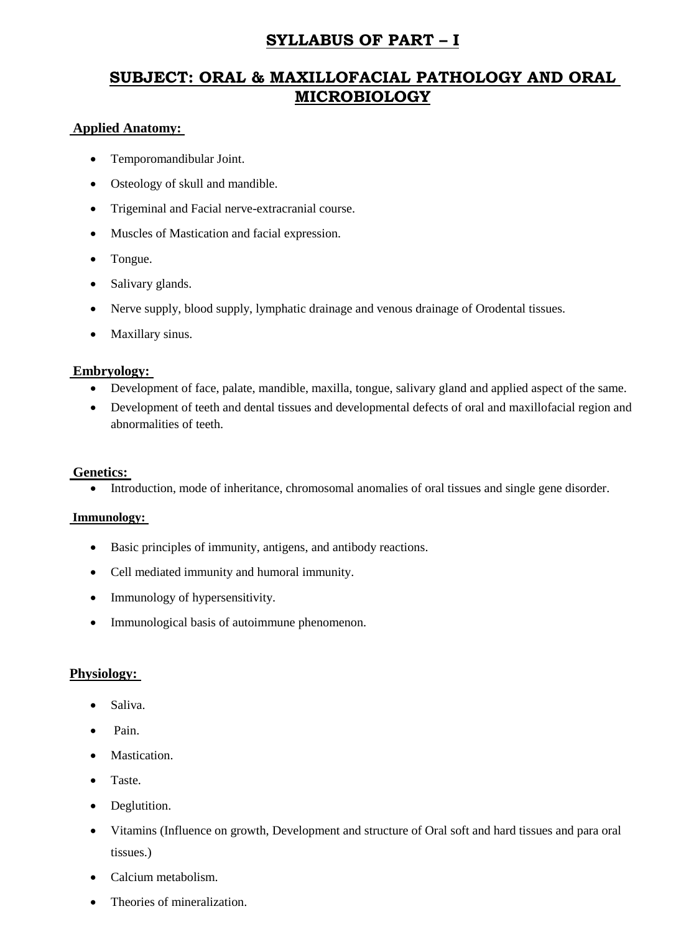## **SYLLABUS OF PART – I**

# **SUBJECT: ORAL & MAXILLOFACIAL PATHOLOGY AND ORAL MICROBIOLOGY**

#### **Applied Anatomy:**

- Temporomandibular Joint.
- Osteology of skull and mandible.
- Trigeminal and Facial nerve-extracranial course.
- Muscles of Mastication and facial expression.
- Tongue.
- Salivary glands.
- Nerve supply, blood supply, lymphatic drainage and venous drainage of Orodental tissues.
- Maxillary sinus.

#### **Embryology:**

- Development of face, palate, mandible, maxilla, tongue, salivary gland and applied aspect of the same.
- Development of teeth and dental tissues and developmental defects of oral and maxillofacial region and abnormalities of teeth.

#### **Genetics:**

Introduction, mode of inheritance, chromosomal anomalies of oral tissues and single gene disorder.

#### **Immunology:**

- Basic principles of immunity, antigens, and antibody reactions.
- Cell mediated immunity and humoral immunity.
- Immunology of hypersensitivity.
- Immunological basis of autoimmune phenomenon.

#### **Physiology:**

- Saliva.
- Pain.
- Mastication.
- Taste.
- Deglutition.
- Vitamins (Influence on growth, Development and structure of Oral soft and hard tissues and para oral tissues.)
- Calcium metabolism.
- Theories of mineralization.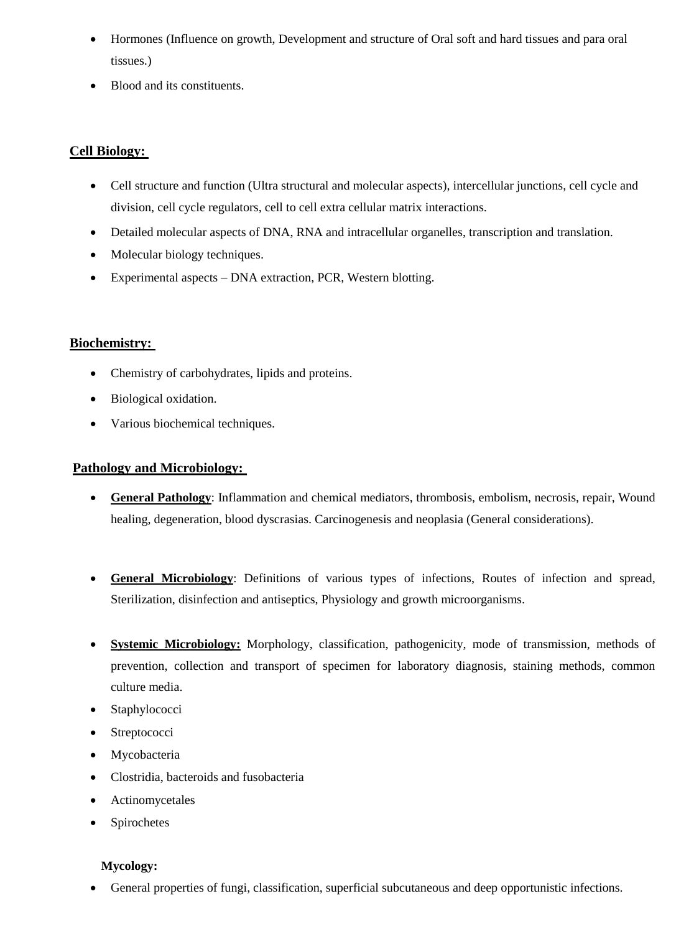- Hormones (Influence on growth, Development and structure of Oral soft and hard tissues and para oral tissues.)
- Blood and its constituents.

## **Cell Biology:**

- Cell structure and function (Ultra structural and molecular aspects), intercellular junctions, cell cycle and division, cell cycle regulators, cell to cell extra cellular matrix interactions.
- Detailed molecular aspects of DNA, RNA and intracellular organelles, transcription and translation.
- Molecular biology techniques.
- Experimental aspects DNA extraction, PCR, Western blotting.

## **Biochemistry:**

- Chemistry of carbohydrates, lipids and proteins.
- Biological oxidation.
- Various biochemical techniques.

## **Pathology and Microbiology:**

- **General Pathology**: Inflammation and chemical mediators, thrombosis, embolism, necrosis, repair, Wound healing, degeneration, blood dyscrasias. Carcinogenesis and neoplasia (General considerations).
- **General Microbiology**: Definitions of various types of infections, Routes of infection and spread, Sterilization, disinfection and antiseptics, Physiology and growth microorganisms.
- **Systemic Microbiology:** Morphology, classification, pathogenicity, mode of transmission, methods of prevention, collection and transport of specimen for laboratory diagnosis, staining methods, common culture media.
- Staphylococci
- Streptococci
- Mycobacteria
- Clostridia, bacteroids and fusobacteria
- Actinomycetales
- Spirochetes

## **Mycology:**

General properties of fungi, classification, superficial subcutaneous and deep opportunistic infections.